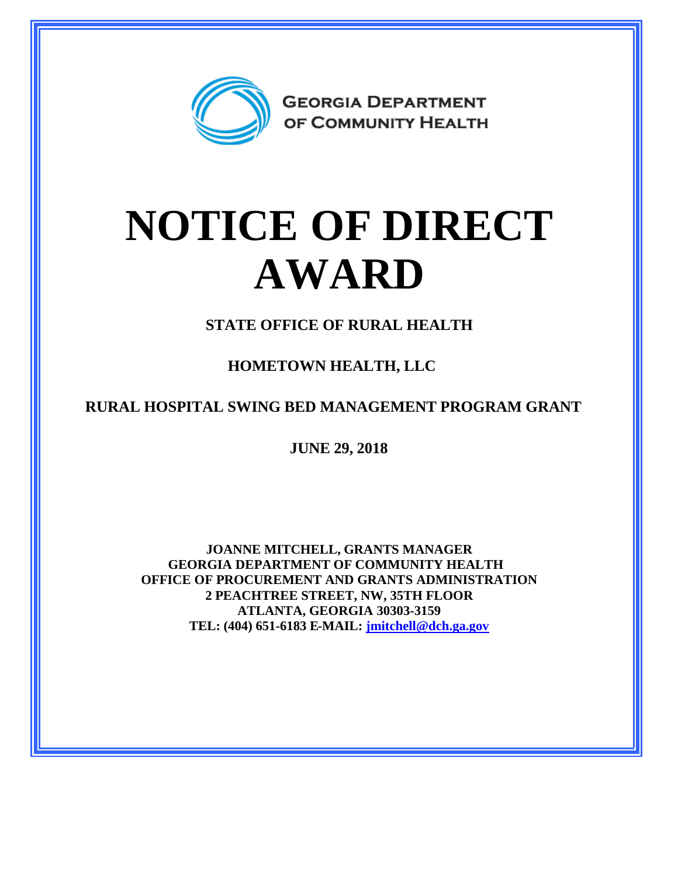

## **NOTICE OF DIRECT AWARD**

**STATE OFFICE OF RURAL HEALTH**

**HOMETOWN HEALTH, LLC** 

**RURAL HOSPITAL SWING BED MANAGEMENT PROGRAM GRANT**

**JUNE 29, 2018**

**JOANNE MITCHELL, GRANTS MANAGER GEORGIA DEPARTMENT OF COMMUNITY HEALTH OFFICE OF PROCUREMENT AND GRANTS ADMINISTRATION 2 PEACHTREE STREET, NW, 35TH FLOOR ATLANTA, GEORGIA 30303-3159 TEL: (404) 651-6183 E-MAIL: [jmitchell@dch.ga.gov](mailto:jmitchell@dch.ga.gov)**